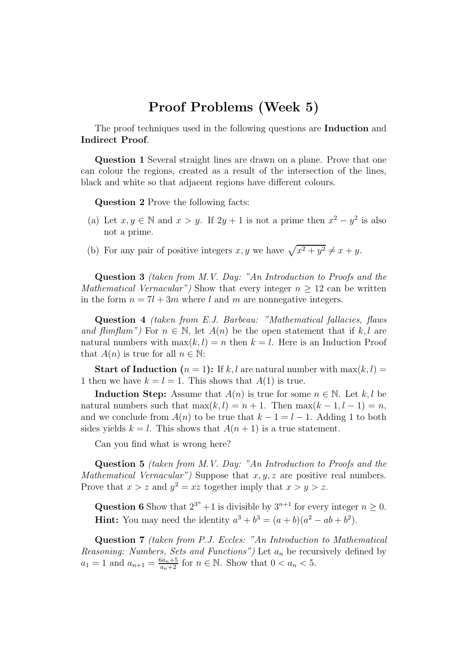## Proof Problems (Week 5)

The proof techniques used in the following questions are **Induction** and Indirect Proof.

Question 1 Several straight lines are drawn on a plane. Prove that one can colour the regions, created as a result of the intersection of the lines, black and white so that adjacent regions have different colours.

Question 2 Prove the following facts:

- (a) Let  $x, y \in \mathbb{N}$  and  $x > y$ . If  $2y + 1$  is not a prime then  $x^2 y^2$  is also not a prime.
- (b) For any pair of positive integers x, y we have  $\sqrt{x^2 + y^2} \neq x + y$ .

Question 3 *(taken from M.V. Day: "An Introduction to Proofs and the Mathematical Vernacular"*) Show that every integer  $n > 12$  can be written in the form  $n = 7l + 3m$  where l and m are nonnegative integers.

Question 4 *(taken from E.J. Barbeau: "Mathematical fallacies, flaws and flimflam"*) For  $n \in \mathbb{N}$ , let  $A(n)$  be the open statement that if k, l are natural numbers with  $\max(k, l) = n$  then  $k = l$ . Here is an Induction Proof that  $A(n)$  is true for all  $n \in \mathbb{N}$ :

**Start of Induction**  $(n = 1)$ : If k, l are natural number with  $\max(k, l)$  = 1 then we have  $k = l = 1$ . This shows that  $A(1)$  is true.

**Induction Step:** Assume that  $A(n)$  is true for some  $n \in \mathbb{N}$ . Let k, l be natural numbers such that  $\max(k, l) = n + 1$ . Then  $\max(k - 1, l - 1) = n$ , and we conclude from  $A(n)$  to be true that  $k - 1 = l - 1$ . Adding 1 to both sides yields  $k = l$ . This shows that  $A(n + 1)$  is a true statement.

Can you find what is wrong here?

Question 5 *(taken from M.V. Day: "An Introduction to Proofs and the Mathematical Vernacular"*) Suppose that  $x, y, z$  are positive real numbers. Prove that  $x > z$  and  $y^2 = xz$  together imply that  $x > y > z$ .

**Question 6** Show that  $2^{3^n} + 1$  is divisible by  $3^{n+1}$  for every integer  $n \ge 0$ . **Hint:** You may need the identity  $a^3 + b^3 = (a+b)(a^2 - ab + b^2)$ .

Question 7 *(taken from P.J. Eccles: "An Introduction to Mathematical Reasoning: Numbers, Sets and Functions")* Let  $a_n$  be recursively defined by  $a_1 = 1$  and  $a_{n+1} = \frac{6a_n+5}{a_n+2}$  for  $n \in \mathbb{N}$ . Show that  $0 < a_n < 5$ .